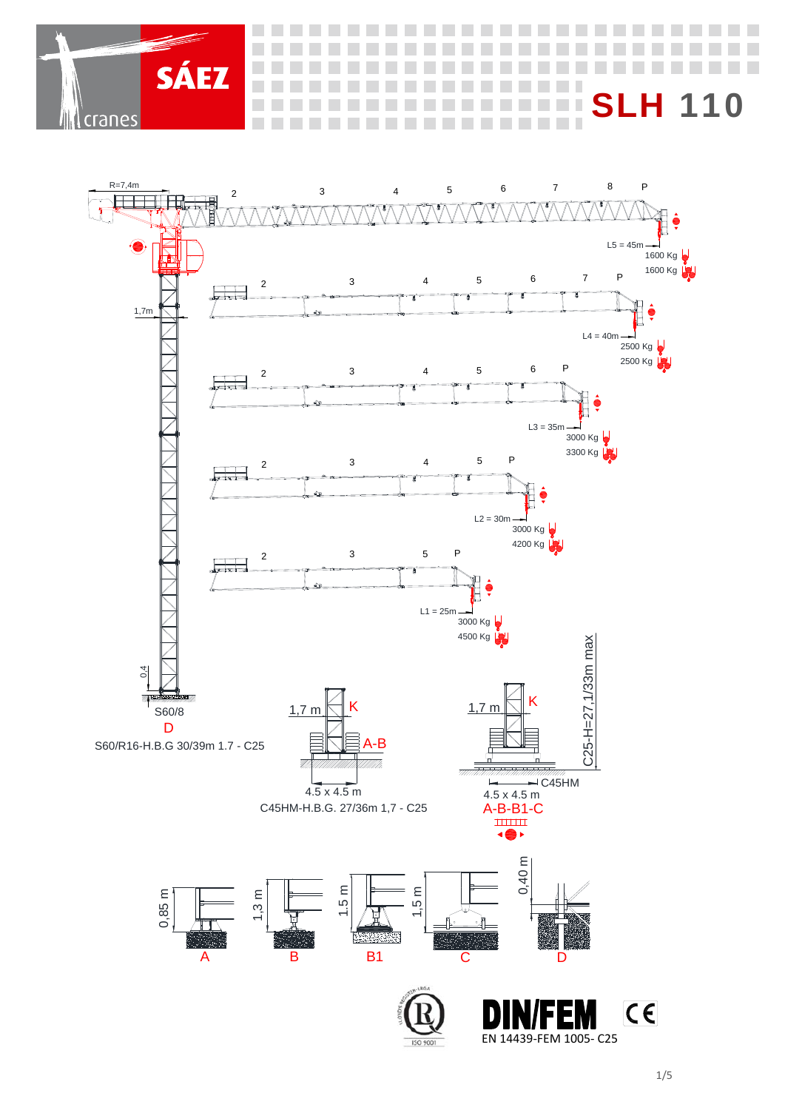L

**Contract Contract** 

a sa 

n T

**Contract COLLA** 

 $\overline{O}$ 



**STATISTICS COLLEGE** 

 $\mathcal{L}_{\mathcal{A}}$ 

 $\mathcal{L}_{\mathcal{A}}$ 

**SÁEZ** 

cranes

**Contract**  a sa a sa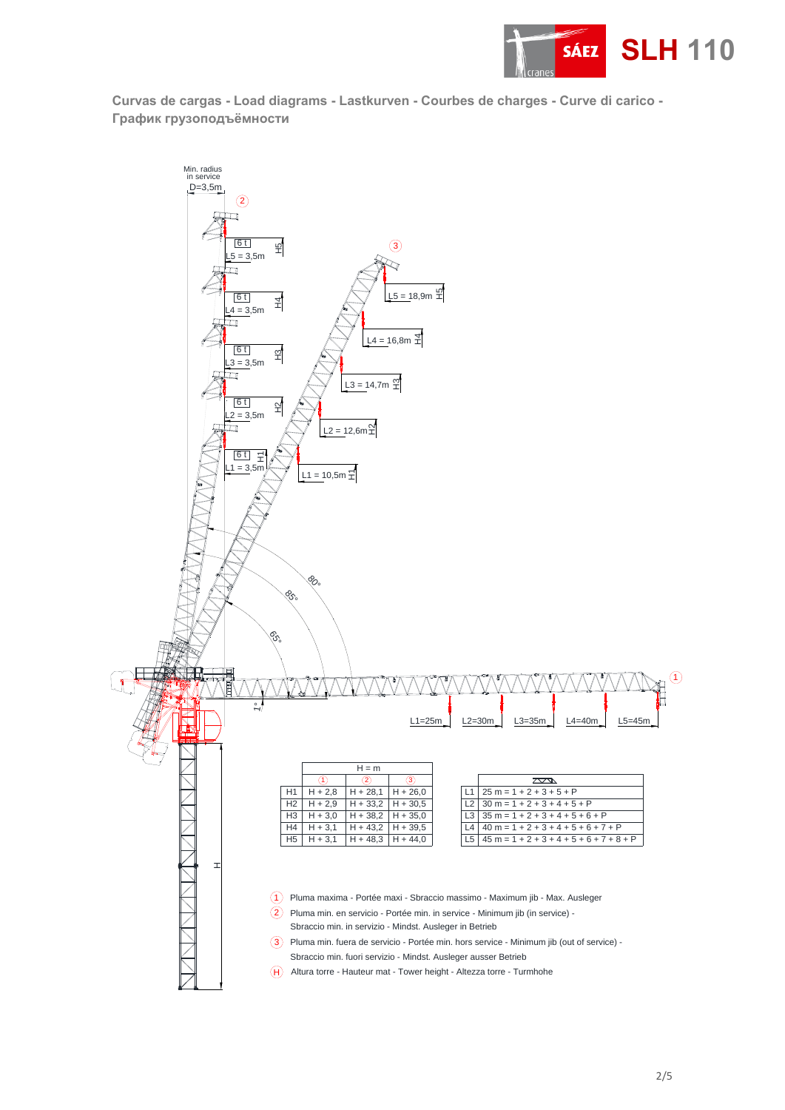

**Curvas de cargas - Load diagrams - Lastkurven - Courbes de charges - Curve di carico - График грузоподъёмности** 

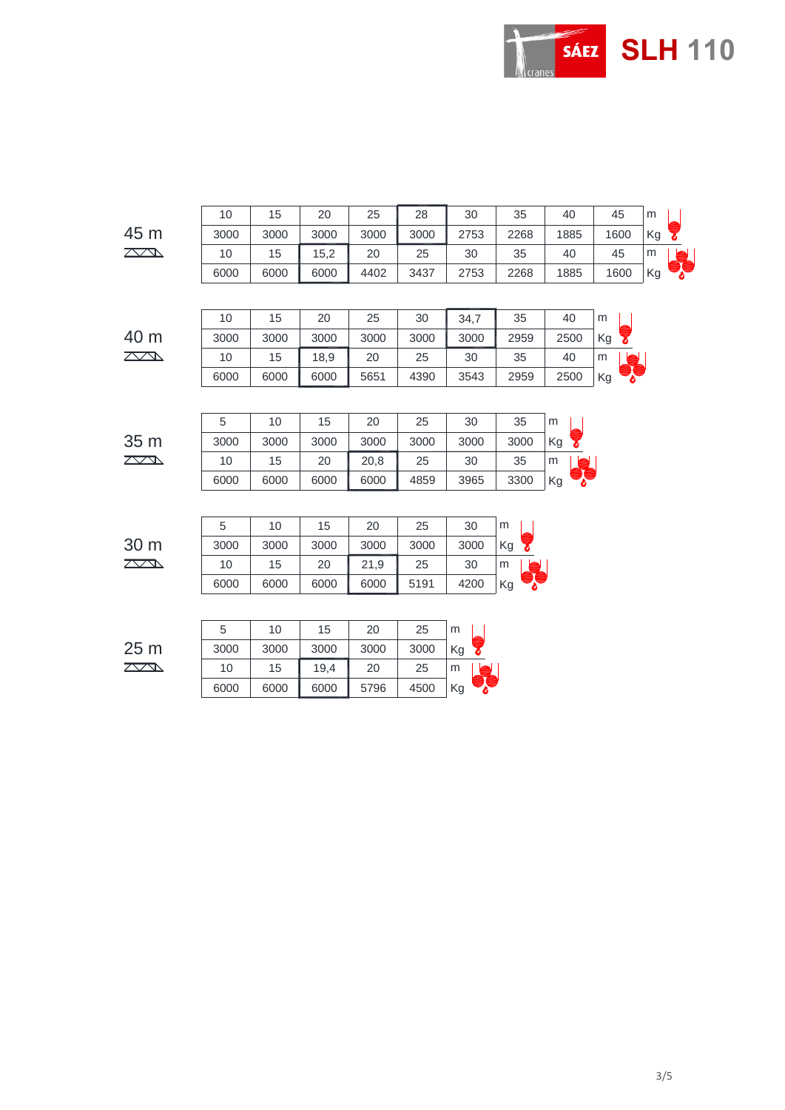

|                 | 10   | 15   | 20   | 25   | 28   | 30   | 35   | 40   | 45   | m  |
|-----------------|------|------|------|------|------|------|------|------|------|----|
| 45 m            | 3000 | 3000 | 3000 | 3000 | 3000 | 2753 | 2268 | 1885 | 1600 | Kg |
| $\mathbb{Z}$    | 10   | 15   | 15,2 | 20   | 25   | 30   | 35   | 40   | 45   | m  |
|                 | 6000 | 6000 | 6000 | 4402 | 3437 | 2753 | 2268 | 1885 | 1600 | Kg |
|                 |      |      |      |      |      |      |      |      |      |    |
|                 | 10   | 15   | 20   | 25   | 30   | 34,7 | 35   | 40   | m    |    |
| 40 m            | 3000 | 3000 | 3000 | 3000 | 3000 | 3000 | 2959 | 2500 | Kg   |    |
| $\mathbb{Z}$    | 10   | 15   | 18,9 | 20   | 25   | 30   | 35   | 40   | m    |    |
|                 | 6000 | 6000 | 6000 | 5651 | 4390 | 3543 | 2959 | 2500 | Kg   |    |
|                 |      |      |      |      |      |      |      |      |      |    |
|                 | 5    | 10   | 15   | 20   | 25   | 30   | 35   | m    |      |    |
| 35 m            | 3000 | 3000 | 3000 | 3000 | 3000 | 3000 | 3000 | Kg   |      |    |
| $\mathbb{Z}$    | 10   | 15   | 20   | 20,8 | 25   | 30   | 35   | m    |      |    |
|                 | 6000 | 6000 | 6000 | 6000 | 4859 | 3965 | 3300 | Kg   |      |    |
|                 |      |      |      |      |      |      |      |      |      |    |
|                 | 5    | 10   | 15   | 20   | 25   | 30   | m    |      |      |    |
| 30 m            | 3000 | 3000 | 3000 | 3000 | 3000 | 3000 | Kg   |      |      |    |
| $\mathbb{Z}$    | 10   | 15   | 20   | 21,9 | 25   | 30   | m    |      |      |    |
|                 | 6000 | 6000 | 6000 | 6000 | 5191 | 4200 | Kg   |      |      |    |
|                 |      |      |      |      |      |      |      |      |      |    |
|                 | 5    | 10   | 15   | 20   | 25   | m    |      |      |      |    |
| 25 <sub>m</sub> | 3000 | 3000 | 3000 | 3000 | 3000 | Kg   |      |      |      |    |
| $\mathbb{Z}$    | 10   | 15   | 19,4 | 20   | 25   | m    |      |      |      |    |
|                 | 6000 | 6000 | 6000 | 5796 | 4500 | Kg   |      |      |      |    |
|                 |      |      |      |      |      |      |      |      |      |    |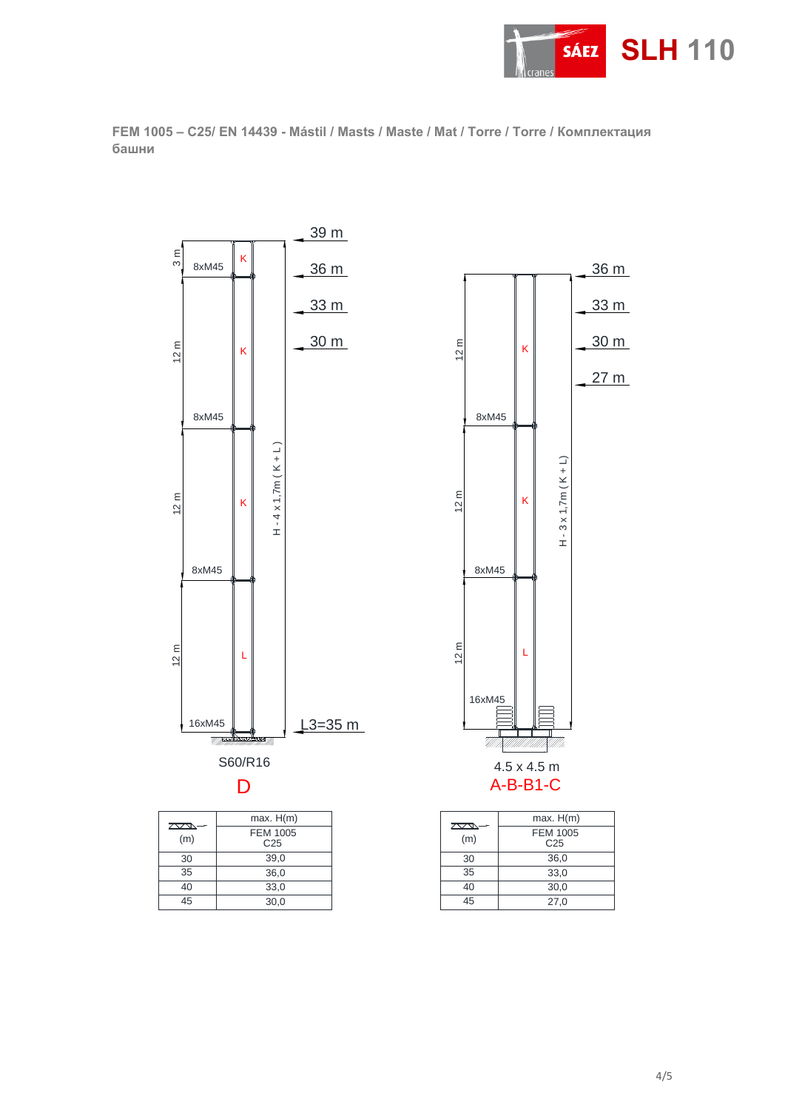

**FEM 1005 – C25/ EN 14439 - Mástil / Masts / Maste / Mat / Torre / Torre / Комплектaция башни**



35 40 45 36,0

 $30,0$ 33,0

| 2335<br>(m) | <b>FEM 1005</b><br>C <sub>25</sub> |
|-------------|------------------------------------|
| 30          | 36,0                               |
| 35          | 33,0                               |
| 40          | 30.0                               |
| 45          | 27,0                               |